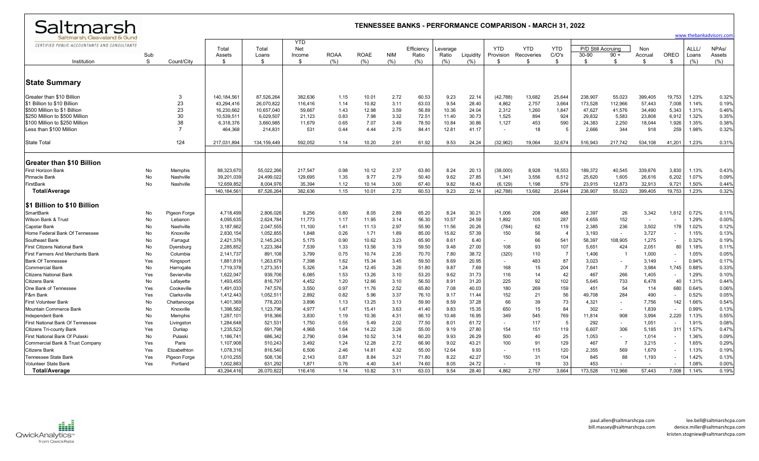| Saltmarsh                                                                    |                     |                |              |               |                   |                     |                     |                    |              |               |                  |                  | <b>TENNESSEE BANKS - PERFORMANCE COMPARISON - MARCH 31, 2022</b> |                |                    |                |               |        |               |                                               |
|------------------------------------------------------------------------------|---------------------|----------------|--------------|---------------|-------------------|---------------------|---------------------|--------------------|--------------|---------------|------------------|------------------|------------------------------------------------------------------|----------------|--------------------|----------------|---------------|--------|---------------|-----------------------------------------------|
| Saltmarsh, Cleaveland & Gund<br>CERTIFIED PUBLIC ACCOUNTANTS AND CONSULTANTS |                     |                | Total        | Total         | <b>YTD</b><br>Net |                     |                     |                    | Efficiency   | Leverage      |                  | <b>YTD</b>       | <b>YTD</b>                                                       | <b>YTD</b>     | P/D Still Accruing |                | <b>Non</b>    | OREO   | ALLL/         | www.thebankadvisors.com<br>NPA <sub>s</sub> / |
| Institution                                                                  | Sub<br><sub>S</sub> | Count/City     | Assets       | Loans<br>\$.  | Income<br>\$      | <b>ROAA</b><br>(% ) | <b>ROAE</b><br>(% ) | <b>NIM</b><br>(% ) | Ratio<br>(%) | Ratio<br>(% ) | Liquidity<br>(%) | Provision<br>\$. | Recoveries<br>-96                                                | C/O's<br>\$    | 30-90<br>\$.       | $90 +$<br>\$   | Accrual<br>-S | \$     | Loans<br>(% ) | Assets<br>(% )                                |
|                                                                              |                     |                |              |               |                   |                     |                     |                    |              |               |                  |                  |                                                                  |                |                    |                |               |        |               |                                               |
| <b>State Summary</b>                                                         |                     |                |              |               |                   |                     |                     |                    |              |               |                  |                  |                                                                  |                |                    |                |               |        |               |                                               |
| Greater than \$10 Billion                                                    |                     | 3              | 140, 184, 56 | 87,526,264    | 382,636           | 1.15                | 10.01               | 2.72               | 60.53        | 9.23          | 22.14            | (42, 788)        | 13,682                                                           | 25,644         | 238,907            | 55,023         | 399,405       | 19,753 | 1.23%         | 0.32%                                         |
| \$1 Billion to \$10 Billion                                                  |                     | 23             | 43,294,416   | 26,070,822    | 116,416           | 1.14                | 10.82               | 3.11               | 63.03        | 9.54          | 28.40            | 4,862            | 2,757                                                            | 3,664          | 173,528            | 112,966        | 57,443        | 7,008  | 1.14%         | 0.19%                                         |
| \$500 Million to \$1 Billion                                                 |                     | 23             | 16,230,662   | 10,657,040    | 59,667            | 1.43                | 12.98               | 3.59               | 56.89        | 10.36         | 24.04            | 2,312            | 1,260                                                            | 1,847          | 47,627             | 41,576         | 34,490        | 5,343  | 1.31%         | 0.46%                                         |
| \$250 Million to \$500 Million                                               |                     | 30             | 10,539,511   | 6,029,507     | 21,123            | 0.83                | 7.98                | 3.32               | 72.51        | 11.40         | 30.73            | 1,525            | 894                                                              | 924            | 29,832             | 5,583          | 23,808        | 6,912  | 1.32%         | 0.35%                                         |
| \$100 Million to \$250 Million                                               |                     | 38             | 6,318,376    | 3.660.985     | 11,679            | 0.65                | 7.07                | 3.49               | 78.50        | 10.84         | 30.86            | 1,127            | 453                                                              | 590            | 24,383             | 2,250          | 18,044        | 1,926  | 1.35%         | 0.38%                                         |
| Less than \$100 Million                                                      |                     | $\overline{7}$ | 464.368      | 214,831       | 531               | 0.44                | 4.44                | 2.75               | 84.41        | 12.81         | 41.17            | $\sim$           | 18                                                               | -5             | 2.666              | 344            | 918           | 259    | 1.98%         | 0.32%                                         |
| State Total                                                                  |                     | 124            | 217,031,894  | 134, 159, 449 | 592.052           | 1.14                | 10.20               | 2.91               | 61.92        | 9.53          | 24.24            | (32,962)         | 19,064                                                           | 32,674         | 516,943            | 217,742        | 534,108       | 41,201 | 1.23%         | 0.31%                                         |
|                                                                              |                     |                |              |               |                   |                     |                     |                    |              |               |                  |                  |                                                                  |                |                    |                |               |        |               |                                               |
| Greater than \$10 Billion                                                    |                     |                |              |               |                   |                     |                     |                    |              |               |                  |                  |                                                                  |                |                    |                |               |        |               |                                               |
| First Horizon Bank                                                           | No                  | Memphis        | 88.323.670   | 55.022.266    | 217.547           | 0.98                | 10.12               | 2.37               | 63.80        | 8.24          | 20.13            | (38,000)         | 8,928                                                            | 18,553         | 189,372            | 40,545         | 339.876       | 3,830  | 1.13%         | 0.43%                                         |
| Pinnacle Bank                                                                | No                  | Nashville      | 39.201.039   | 24.499.022    | 129.695           | 1.35                | 9.77                | 2.79               | 50.40        | 9.62          | 27.85            | 1,341            | 3,556                                                            | 6,512          | 25.620             | 1.605          | 26,616        | 6,202  | 1.07%         | 0.09%                                         |
| FirstBank                                                                    | No                  | Nashville      | 12,659,852   | 8,004,976     | 35,394            | 1.12                | 10.14               | 3.00               | 67.40        | 9.82          | 18.43            | (6, 129)         | 1,198                                                            | 579            | 23,915             | 12,873         | 32,913        | 9,721  | 1.50%         | 0.44%                                         |
| Total/Average                                                                |                     |                | 140.184.561  | 87.526.264    | 382.636           | 1.15                | 10.01               | 2.72               | 60.53        | 9.23          | 22.14            | (42, 788)        | 13,682                                                           | 25.644         | 238.907            | 55,023         | 399,405       | 19,753 | 1.23%         | 0.32%                                         |
| \$1 Billion to \$10 Billion                                                  |                     |                |              |               |                   |                     |                     |                    |              |               |                  |                  |                                                                  |                |                    |                |               |        |               |                                               |
| SmartBank                                                                    | No                  | Pigeon Forge   | 4,718,499    | 2,806,026     | 9,256             | 0.80                | 8.05                | 2.89               | 65.20        | 8.24          | 30.21            | 1,006            | 208                                                              | 488            | 2,397              | 26             | 3,342         | 1,612  | 0.72%         | 0.11%                                         |
| Wilson Bank & Trust                                                          | No                  | Lebanon        | 4,095,635    | 2,624,784     | 11,773            | 1.17                | 11.95               | 3.14               | 56.30        | 10.57         | 24.59            | 1,892            | 105                                                              | 287            | 4,655              | 152            | $\sim$        |        | 1.29%         | 0.00%                                         |
| Capstar Bank                                                                 | No                  | Nashville      | 3,187,662    | 2,047,555     | 11,100            | 1.41                | 11.13               | 2.97               | 55.90        | 11.56         | 20.26            | (784)            | 62                                                               | 119            | 2,385              | 236            | 3,502         | 178    | 1.02%         | 0.12%                                         |
| Home Federal Bank Of Tennessee                                               | No                  | Knoxville      | 2.830.154    | 1.052.855     | 1.848             | 0.26                | 1.71                | 1.89               | 85.00        | 15.82         | 57.39            | 150              | 56                                                               | $\overline{4}$ | 3.193              | $\sim$         | 3.727         |        | 1.15%         | 0.13%                                         |
| Southeast Bank                                                               | No                  | Farragut       | 2,421,376    | 2,145,243     | 5,175             | 0.90                | 10.62               | 3.23               | 65.90        | 8.61          | 6.40             | $\sim$           | 66                                                               | 541            | 58,397             | 108,905        | 1,275         |        | 0.32%         | 0.19%                                         |
| First Citizens National Bank                                                 | No                  | Dyersburg      | 2,285,852    | 1,223,384     | 7,539             | 1.33                | 13.56               | 3.19               | 59.50        | 9.48          | 27.00            | 108              | 93                                                               | 107            | 5,651              | 424            | 2,051         | 80     | 1.18%         | 0.11%                                         |
| First Farmers And Merchants Bank                                             | No                  | Columbia       | 2,141,737    | 891,108       | 3,799             | 0.75                | 10.74               | 2.35               | 70.70        | 7.80          | 38.72            | (320)            | 110                                                              | - 7            | 1,406              | $\mathbf{1}$   | 1,000         |        | 1.05%         | 0.05%                                         |
| <b>Bank Of Tennessee</b>                                                     | Yes                 | Kingsport      | 1,881,819    | 1,263,679     | 7,398             | 1.62                | 15.34               | 3.45               | 59.50        | 8.69          | 20.95            |                  | 483                                                              | 87             | 3,023              |                | 3,149         | $\sim$ | 0.94%         | 0.17%                                         |
| Commercial Bank                                                              | No                  | Harrogate      | 1,719,378    | 1,273,351     | 5,326             | 1.24                | 12.45               | 3.26               | 51.80        | 9.87          | 7.69             | 168              | 15                                                               | 204            | 7,641              | $\overline{7}$ | 3,984         | 1,745  | 0.88%         | 0.33%                                         |
| Citizens National Bank                                                       | Yes                 | Sevierville    | 1,622,047    | 939,706       | 6,085             | 1.53                | 13.26               | 3.10               | 53.20        | 9.62          | 31.73            | 116              | 14                                                               | 42             | 467                | 266            | 1,405         |        | 1.29%         | 0.10%                                         |
| Citizens Bank                                                                | No                  | Lafayette      | 1,493,455    | 816,797       | 4,452             | 1.20                | 12.66               | 3.10               | 56.50        | 8.91          | 31.20            | 225              | 92                                                               | 102            | 5,645              | 733            | 6,478         | 40     | 1.31%         | 0.44%                                         |
| One Bank of Tennessee                                                        | Yes                 | Cookeville     | 1,491,033    | 747,576       | 3,550             | 0.97                | 11.76               | 2.52               | 65.80        | 7.08          | 40.03            | 180              | 269                                                              | 159            | 451                | 54             | 114           | 680    | 0.64%         | 0.06%                                         |
| F&m Bank                                                                     | Yes                 | Clarksville    | 1,412,443    | 1,052,51'     | 2.892             | 0.82                | 5.96                | 3.37               | 76.10        | 9.17          | 11.44            | 152              | 21                                                               | 56             | 49.708             | 284            | 490           |        | 0.52%         | 0.05%                                         |
| First Volunteer Bank                                                         | No                  | Chattanooga    | 1,401,369    | 778,203       | 3,896             | 1.13                | 13.25               | 3.13               | 59.90        | 8.59          | 37.28            | 66               | 39                                                               | 73             | 4,321              | $\sim$         | 7,756         | 142    | 1.66%         | 0.54%                                         |
| Mountain Commerce Bank                                                       | No                  | Knoxville      | 1,398,582    | 1,123,796     | 4,977             | 1.47                | 15.41               | 3.63               | 41.40        | 9.83          | 15.35            | 650              | 15                                                               | 84             | 302                | $\sim$         | 1,839         |        | 0.99%         | 0.13%                                         |
| Independent Bank                                                             | No                  | Memphis        | 1,287,101    | 918,366       | 3,830             | 1.19                | 10.36               | 4.31               | 66.10        | 10.48         | 16.95            | 349              | 545                                                              | 769            | 11,814             | 908            | 3,994         | 2,220  | 1.13%         | 0.55%                                         |
| First National Bank Of Tennessee                                             | Yes                 | Livingston     | 1,284,648    | 521,531       | 1,750             | 0.55                | 5.49                | 2.02               | 77.50        | 8.01          | 61.72            |                  | 117                                                              | -5             | 292                | $\sim$         | 1,051         |        | 1.91%         | 0.08%                                         |
| Citizens Tri-county Bank                                                     | Yes                 | Dunlap         | 1,235,523    | 691,798       | 4,968             | 1.64                | 14.22               | 3.26               | 55.00        | 9.19          | 27.80            | 154              | 151                                                              | 119            | 6,607              | 306            | 5,185         | 311    | 1.57%         | 0.47%                                         |
| First National Bank Of Pulask                                                | No                  | Pulaski        | 1,186,741    | 686,342       | 2,790             | 0.94                | 10.52               | 3.14               | 60.20        | 9.93          | 26.29            | 500              | 40                                                               | 25             | 1,053              |                | 1,014         |        | 1.36%         | 0.09%                                         |
| Commercial Bank & Trust Company                                              | Yes                 | Paris          | 1,107,908    | 510,243       | 3,492             | 1.24                | 12.28               | 2.72               | 66.90        | 9.02          | 43.21            | 100              | 91                                                               | 129            | 467                | - 7            | 3,215         | $\sim$ | 1.65%         | 0.29%                                         |
| Citizens Bank                                                                | Yes                 | Elizabethton   | 1,078,316    | 816,540       | 6,506             | 2.46                | 14.81               | 4.32               | 55.00        | 12.64         | 9.93             |                  | 115                                                              | 120            | 2,355              | 569            | 1,679         |        | 1.13%         | 0.19%                                         |
| Tennessee State Bank                                                         | Yes                 | Pigeon Forge   | 1,010,255    | 508,136       | 2,143             | 0.87                | 8.84                | 3.21               | 71.80        | 8.22          | 42.27            | 150              | 31                                                               | 104            | 845                | 88             | 1,193         |        | 1.42%         | 0.13%                                         |
| Volunteer State Bank                                                         | Yes                 | Portland       | 1,002,883    | 631.292       | 1.871             | 0.76                | 4.40                | 3.41               | 74.60        | 8.05          | 24.72            |                  | 19                                                               | 33             | 453                |                |               |        | 1.08%         | 0.00%                                         |

**Total/Average** 43,294,416 26,070,822 116,416 1.14 10.82 3.11 63.03 9.54 28.40 4,862 2,757 3,664 173,528 112,966 57,443 7,008 1.14% 0.19%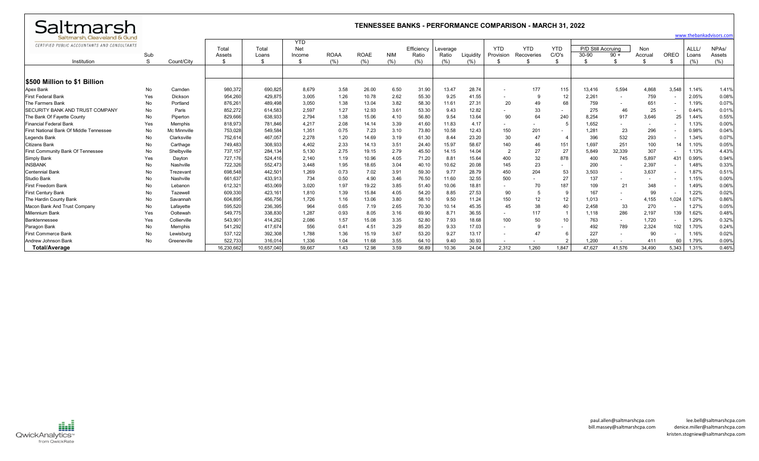| Saltmarsh                                    |           |              |                 |                |                                    |             |             |            |                     |                  |           |                          | <b>TENNESSEE BANKS - PERFORMANCE COMPARISON - MARCH 31, 2022</b> |                     |                             |                          |                          |                          |                |                              |  |  |  |  |
|----------------------------------------------|-----------|--------------|-----------------|----------------|------------------------------------|-------------|-------------|------------|---------------------|------------------|-----------|--------------------------|------------------------------------------------------------------|---------------------|-----------------------------|--------------------------|--------------------------|--------------------------|----------------|------------------------------|--|--|--|--|
| Saltmarsh, Cleaveland & Gund                 |           |              |                 |                |                                    |             |             |            |                     |                  |           |                          |                                                                  |                     |                             |                          | www.thebankadvisors.con  |                          |                |                              |  |  |  |  |
| CERTIFIED PUBLIC ACCOUNTANTS AND CONSULTANTS | Sub       |              | Total<br>Assets | Total<br>Loans | <b>YTD</b><br><b>Net</b><br>Income | <b>ROAA</b> | <b>ROAE</b> | <b>NIM</b> | Efficiency<br>Ratio | everage<br>Ratio | Liauidity | <b>YTD</b><br>Provision  | <b>YTD</b><br>Recoveries                                         | <b>YTD</b><br>C/O's | P/D Still Accruing<br>30-90 | $90 +$                   | <b>Non</b><br>Accrual    | <b>OREO</b>              | ALLL/<br>Loans | NPA <sub>s</sub> /<br>Assets |  |  |  |  |
| Institution                                  | S         | Count/City   |                 | \$             | \$                                 | (% )        | (%)         | (%)        | (%)                 | (%)              | (% )      |                          | \$                                                               | \$                  |                             | \$                       | \$                       |                          | (% )           | (% )                         |  |  |  |  |
| <b>S500 Million to \$1 Billion</b>           |           |              |                 |                |                                    |             |             |            |                     |                  |           |                          |                                                                  |                     |                             |                          |                          |                          |                |                              |  |  |  |  |
| Apex Bank                                    | No        | Camden       | 980,37          | 690,825        | 8,679                              | 3.58        | 26.00       | 6.50       | 31.90               | 13.47            | 28.74     | $\overline{\phantom{a}}$ | 177                                                              | 115                 | 13,416                      | 5,594                    | 4,868                    | 3,548                    | 1.14%          | 1.41%                        |  |  |  |  |
| <b>First Federal Bank</b>                    | Yes       | Dickson      | 954,26          | 429,875        | 3,005                              | 1.26        | 10.78       | 2.62       | 55.30               | 9.25             | 41.55     | $\sim$                   | -9                                                               | 12                  | 2,261                       | $\overline{\phantom{a}}$ | 759                      | $\sim$                   | 2.05%          | 0.08%                        |  |  |  |  |
| The Farmers Bank                             | No        | Portland     | 876.26          | 489,498        | 3,050                              | 1.38        | 13.04       | 3.82       | 58.30               | $11.6^{\circ}$   | 27.31     | 20                       | 49                                                               | 68                  | 759                         |                          | 651                      | ٠                        | 1.19%          | 0.07%                        |  |  |  |  |
| <b>ISECURITY BANK AND TRUST COMPANY</b>      | No        | Paris        | 852.272         | 614,583        | 2,597                              | 1.27        | 12.93       | 3.61       | 53.30               | 9.43             | 12.82     |                          | 33                                                               |                     | 275                         | 46                       | 25                       | $\sim$                   | 0.44%          | 0.01%                        |  |  |  |  |
| The Bank Of Fayette County                   | No        | Piperton     | 829,666         | 638,933        | 2,794                              | 1.38        | 15.06       | 4.10       | 56.80               | 9.54             | 13.64     | 90                       | 64                                                               | 240                 | 8,254                       | 917                      | 3,646                    | 25                       | 1.44%          | 0.55%                        |  |  |  |  |
| Financial Federal Bank                       | Yes       | Memphis      | 818,973         | 781,846        | 4,217                              | 2.08        | 14.14       | 3.39       | 41.60               | 11.83            | 4.17      |                          | $\overline{\phantom{a}}$                                         |                     | 1,652                       |                          | $\sim$                   | $\blacksquare$           | 1.13%          | 0.00%                        |  |  |  |  |
| First National Bank Of Middle Tennessee      | No        | Mc Minnville | 753,028         | 549,584        | 1,351                              | 0.75        | 7.23        | 3.10       | 73.80               | 10.58            | 12.43     | 150                      | 201                                                              |                     | 1,281                       | 23                       | 296                      |                          | 0.98%          | 0.04%                        |  |  |  |  |
| <b>Legends Bank</b>                          | No        | Clarksville  | 752,61          | 467,057        | 2,278                              | 1.20        | 14.69       | 3.19       | 61.30               | 8.44             | 23.20     | 30                       | 47                                                               |                     | 396                         | 532                      | 293                      | $\sim$                   | 1.34%          | 0.07%                        |  |  |  |  |
| <b>Citizens Bank</b>                         | <b>No</b> | Carthage     | 749,48          | 308,933        | 4,402                              | 2.33        | 14.13       | 3.51       | 24.40               | 15.97            | 58.67     | 140                      | 46                                                               | 151                 | 1,697                       | 251                      | 100                      | 14                       | 1.10%          | 0.05%                        |  |  |  |  |
| First Community Bank Of Tennessee            | No        | Shelbyville  | 737,157         | 284,134        | 5,130                              | 2.75        | 19.15       | 2.79       | 45.50               | 14.15            | 14.04     | $\overline{2}$           | 27                                                               | 27                  | 5,849                       | 32,339                   | 307                      | $\blacksquare$           | 1.13%          | 4.43%                        |  |  |  |  |
| <b>Simply Bank</b>                           | Yes       | Dayton       | 727,176         | 524,41         | 2,140                              | 1.19        | 10.96       | 4.05       | 71.20               | $8.8^{\circ}$    | 15.64     | 400                      | 32                                                               | 878                 | 400                         | 745                      | 5,897                    | 431                      | 0.99%          | 0.94%                        |  |  |  |  |
| <b>INSBANK</b>                               | No        | Nashville    | 722,326         | 552,473        | 3.448                              | 1.95        | 18.65       | 3.04       | 40.10               | 10.62            | 20.08     | 145                      | 23                                                               | $\sim$              | 200                         |                          | 2,397                    | $\overline{\phantom{a}}$ | 1.48%          | 0.33%                        |  |  |  |  |
| <b>Centennial Bank</b>                       | No        | Trezevant    | 698,548         | 442,50         | 1,269                              | 0.73        | 7.02        | 3.91       | 59.30               | 9.77             | 28.79     | 450                      | 204                                                              | 53                  | 3,503                       |                          | 3,637                    | $\blacksquare$           | 1.87%          | 0.51%                        |  |  |  |  |
| <b>Studio Bank</b>                           | <b>No</b> | Nashville    | 661,637         | 433,913        | 734                                | 0.50        | 4.90        | 3.46       | 76.50               | 11.60            | 32.55     | 500                      |                                                                  | 27                  | 137                         |                          | $\overline{\phantom{0}}$ | $\overline{\phantom{a}}$ | 1.15%          | 0.00%                        |  |  |  |  |
| <b>First Freedom Bank</b>                    | No        | Lebanon      | 612,32          | 453,069        | 3,020                              | 1.97        | 19.22       | 3.85       | 51.40               | 10.06            | 18.81     |                          | 70                                                               | 187                 | 109                         | 21                       | 348                      | $\sim$                   | 1.49%          | 0.06%                        |  |  |  |  |
| <b>First Century Bank</b>                    | No        | Tazewell     | 609,33          | 423,161        | 1,810                              | 1.39        | 15.84       | 4.05       | 54.20               | 8.85             | 27.53     | 90                       | -5                                                               |                     | 167                         |                          | 99                       | $\overline{\phantom{a}}$ | 1.22%          | 0.02%                        |  |  |  |  |
| The Hardin County Bank                       | No        | Savannah     | 604,89          | 456,756        | 1,726                              | 1.16        | 13.06       | 3.80       | 58.10               | 9.50             | 11.24     | 150                      | 12                                                               | 12                  | 1,013                       |                          | 4,155                    | 1,024                    | 1.07%          | 0.86%                        |  |  |  |  |
| Macon Bank And Trust Company                 | No        | Lafavette    | 595,520         | 236,395        | 964                                | 0.65        | 7.19        | 2.65       | 70.30               | 10.14            | 45.35     | 45                       | 38                                                               | 40                  | 2,458                       | 33                       | 270                      | $\sim$                   | 1.27%          | 0.05%                        |  |  |  |  |
| <b>Millennium Bank</b>                       | Yes       | Ooltewah     | 549.77          | 338,830        | 1.287                              | 0.93        | 8.05        | 3.16       | 69.90               | 8.71             | 36.55     | $\overline{\phantom{a}}$ | 117                                                              |                     | 1.118                       | 286                      | 2,197                    | 139                      | 1.62%          | 0.48%                        |  |  |  |  |
| Banktennessee                                | Yes       | Collierville | 543,90          | 414,262        | 2,086                              | 1.57        | 15.08       | 3.35       | 52.80               | 7.93             | 18.68     | 100                      | 50                                                               | 10                  | 763                         |                          | 1,720                    | $\sim$                   | 1.29%          | 0.32%                        |  |  |  |  |
| Paragon Bank                                 | No        | Memphis      | 541,292         | 417,674        | 556                                | 0.41        | 4.51        | 3.29       | 85.20               | 9.33             | 17.03     |                          | -9                                                               |                     | 492                         | 789                      | 2,324                    | 102                      | 1.70%          | 0.24%                        |  |  |  |  |
| <b>First Commerce Bank</b>                   | No        | Lewisburg    | 537,122         | 392,308        | 1,788                              | 1.36        | 15.19       | 3.67       | 53.20               | 9.27             | 13.17     | $\sim$                   | 47                                                               |                     | 227                         |                          | 90                       |                          | 1.16%          | 0.02%                        |  |  |  |  |
| Andrew Johnson Bank                          | No        | Greeneville  | 522.73          | 316,014        | 1,336                              | 1.04        | 11.68       | 3.55       | 64.10               | 9.40             | 30.93     |                          |                                                                  |                     | 1,200                       |                          | 411                      | 60                       | 1.79%          | 0.09%                        |  |  |  |  |
| <b>Total/Average</b>                         |           |              | 16,230,662      | 10,657,040     | 59.667                             | 1.43        | 12.98       | 3.59       | 56.89               | 10.36            | 24.04     | 2,312                    | 1,260                                                            | 1,847               | 47.627                      | 41,576                   | 34,490                   | 5,343                    | 1.31%          | 0.46%                        |  |  |  |  |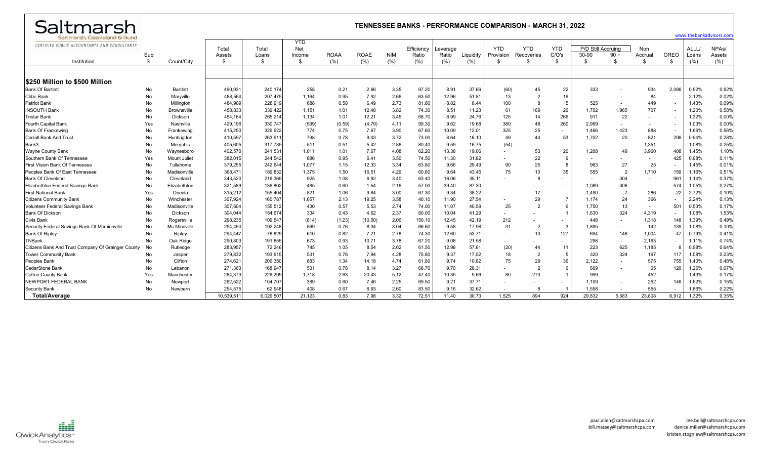| Saltmarsh                                          | <b>TENNESSEE BANKS - PERFORMANCE COMPARISON - MARCH 31, 2022</b> |                    |                 |                |                                    |             |             |            |                     |                   |           |                         |                          |                          |                             |        |                          |                          |                |                              |
|----------------------------------------------------|------------------------------------------------------------------|--------------------|-----------------|----------------|------------------------------------|-------------|-------------|------------|---------------------|-------------------|-----------|-------------------------|--------------------------|--------------------------|-----------------------------|--------|--------------------------|--------------------------|----------------|------------------------------|
| Saltmarsh, Cleaveland & Gund                       |                                                                  |                    |                 |                |                                    |             |             |            |                     |                   |           |                         |                          |                          |                             |        |                          |                          |                | www.thebankadvisors.con      |
| CERTIFIED PUBLIC ACCOUNTANTS AND CONSULTANTS       | Sub                                                              |                    | Total<br>Assets | Total<br>Loans | <b>YTD</b><br><b>Net</b><br>Income | <b>ROAA</b> | <b>ROAE</b> | <b>NIM</b> | Efficiency<br>Ratio | everage.<br>Ratio | Liquidity | <b>YTD</b><br>Provision | <b>YTD</b><br>Recoveries | <b>YTD</b><br>C/O's      | P/D Still Accruing<br>30-90 | $90 +$ | <b>Non</b><br>Accrual    | OREO                     | ALLL/<br>Loans | NPA <sub>s</sub> /<br>Assets |
| Institution                                        | S                                                                | Count/City         | \$              | \$             | \$                                 | (% )        | (%)         | (% )       | (%)                 | (% )              | (% )      | \$.                     | -96                      | \$                       | ୍ଥ                          | \$     | -\$                      | \$.                      | (% )           | (% )                         |
|                                                    |                                                                  |                    |                 |                |                                    |             |             |            |                     |                   |           |                         |                          |                          |                             |        |                          |                          |                |                              |
| <b>IS250 Million to \$500 Million</b>              |                                                                  |                    |                 |                |                                    |             |             |            |                     |                   |           |                         |                          |                          |                             |        |                          |                          |                |                              |
| <b>Bank Of Bartlett</b>                            | No                                                               | <b>Bartlett</b>    | 490.931         | 240,174        | 258                                | 0.21        | 2.66        | 3.35       | 97.20               | 8.91              | 37.66     | (60)                    | 45                       | 22                       | 333                         |        | 934                      | 2.086                    | 0.92%          | 0.62%                        |
| <b>Cbbc Bank</b>                                   | No                                                               | Maryville          | 488,564         | 207,475        | 1,164                              | 0.95        | 7.92        | 2.66       | 63.50               | 12.96             | 51.81     | 13                      | $\overline{2}$           | 16                       |                             |        | 84                       | $\overline{\phantom{a}}$ | 2.12%          | 0.02%                        |
| <b>Patriot Bank</b>                                | No                                                               | Millington         | 484,989         | 228,919        | 688                                | 0.58        | 6.49        | 2.73       | 81.80               | 8.82              | 8.44      | 100                     | 8                        | -5                       | 525                         |        | 449                      | $\sim$                   | 1.43%          | 0.09%                        |
| <b>INSOUTH Bank</b>                                | No                                                               | <b>Brownsville</b> | 458,833         | 339,422        | 1,151                              | 1.01        | 12.48       | 3.82       | 74.30               | 8.51              | 11.23     | -61                     | 169                      | 26                       | 1.702                       | 1.965  | 707                      | $\blacksquare$           | 1.20%          | 0.58%                        |
| <b>Tristar Bank</b>                                | No                                                               | Dickson            | 454,164         | 265,214        | 1,134                              | 1.01        | 12.21       | 3.45       | 68.70               | 8.99              | 24.76     | 125                     | 14                       | 266                      | 911                         | 22     |                          |                          | 1.32%          | 0.00%                        |
| Fourth Capital Bank                                | Yes                                                              | Nashville          | 429,196         | 330,747        | (599)                              | (0.59)      | (4.79)      | 4.11       | 99.30               | 9.62              | 19.68     | 380                     | 48                       | 260                      | 2.999                       |        |                          | $\overline{\phantom{a}}$ | 1.03%          | 0.00%                        |
| <b>Bank Of Frankewing</b>                          | No                                                               | Frankewing         | 415,250         | 329,922        | 774                                | 0.75        | 7.67        | 3.90       | 67.60               | 10.09             | 12.01     | 325                     | 25                       |                          | 1,466                       | 1.423  | 888                      |                          | 1.66%          | 0.56%                        |
| <b>Carroll Bank And Trust</b>                      | No                                                               | Huntingdon         | 410,597         | 263,91         | 798                                | 0.78        | 9.43        | 3.72       | 73.00               | 8.64              | 16.10     | 49                      | 44                       | 53                       | 1,702                       | 20     | 821                      | 296                      | 0.94%          | 0.28%                        |
| Bank3                                              | No                                                               | Memphis            | 405,605         | 317,735        | 511                                | 0.51        | 5.42        | 2.86       | 80.40               | 9.59              | 16.75     | (54)                    |                          |                          |                             |        | 1,351                    | $\overline{\phantom{a}}$ | 1.08%          | 0.25%                        |
| <b>Wayne County Bank</b>                           | No                                                               | Waynesboro         | 402,570         | 241,531        | 1,011                              | 1.01        | 7.67        | 4.08       | 62.20               | 13.38             | 19.06     |                         | 53                       | 20                       | 1,208                       | 49     | 3,960                    | 408                      | 1.45%          | 1.10%                        |
| Southern Bank Of Tennessee                         | Yes                                                              | Mount Julie        | 382,015         | 244,542        | 886                                | 0.95        | 6.41        | 3.50       | 74.50               | 11.30             | 31.82     |                         | 22                       | $\mathbf{q}$             |                             |        | $\sim$                   | 425                      | 0.98%          | 0.11%                        |
| <b>First Vision Bank Of Tennessee</b>              | No                                                               | Tullahoma          | 379,255         | 242,644        | 1,077                              | 1.15        | 12.33       | 3.34       | 63.80               | 9.66              | 29.49     | 90                      | 25                       | $\mathbf{8}$             | 963                         | 27     | 25                       | ٠                        | 1.45%          | 0.01%                        |
| Peoples Bank Of East Tennessee                     | No                                                               | Madisonville       | 368,47          | 189,832        | 1,375                              | 1.50        | 16.51       | 4.29       | 60.80               | 9.64              | 43.45     | 75                      | 13                       | 35                       | 555                         |        | 1,710                    | 159                      | 1.16%          | 0.51%                        |
| <b>Bank Of Cleveland</b>                           | No                                                               | Cleveland          | 343,520         | 216,369        | 925                                | 1.08        | 6.92        | 3.40       | 63.40               | 16.06             | 35.11     |                         | 8                        | $\overline{\phantom{a}}$ |                             | 304    |                          | 961                      | 1.14%          | 0.37%                        |
| Elizabethton Federal Savings Bank                  | No                                                               | Elizabethton       | 321,589         | 136,802        | 485                                | 0.60        | 1.54        | 2.16       | 57.00               | 39.40             | 87.30     |                         |                          |                          | 1,089                       | 306    | $\sim$                   | 574                      | 1.05%          | 0.27%                        |
| <b>First National Bank</b>                         | Yes                                                              | Oneida             | 315,212         | 155,404        | 821                                | 1.06        | 9.84        | 3.00       | 67.30               | 9.34              | 38.22     |                         | 17                       |                          | 1.490                       | -7     | 286                      | 22                       | 2.72%          | 0.10%                        |
| <b>Citizens Community Bank</b>                     | No                                                               | Winchester         | 307,924         | 160,787        | 1,657                              | 2.13        | 19.25       | 3.58       | 40.10               | 11.90             | 27.54     |                         | 29                       | $\overline{7}$           | 1,174                       | 24     | 366                      | $\sim$                   | 2.24%          | 0.13%                        |
| Volunteer Federal Savings Bank                     | No                                                               | Madisonville       | 307,604         | 155,512        | 430                                | 0.57        | 5.53        | 2.74       | 74.00               | 11.07             | 40.59     | 25                      | $\overline{2}$           | 6                        | 1.750                       | 13     | $\overline{\phantom{a}}$ | 501                      | 0.53%          | 0.17%                        |
| <b>Bank Of Dickson</b>                             | No                                                               | Dickson            | 304,044         | 154,674        | 334                                | 0.43        | 4.62        | 2.37       | 80.00               | 10.04             | 41.29     |                         |                          |                          | 1,630                       | 324    | 4,319                    | $\sim$                   | 1.08%          | 1.53%                        |
| <b>Civis Bank</b>                                  | No                                                               | Rogersville        | 298,235         | 109,547        | (814)                              | (1.23)      | (10.50)     | 2.06       | 150.10              | 12.45             | 42.19     | 212                     | $\overline{\phantom{a}}$ | ٠                        | 448                         |        | 1,318                    | 148                      | 1.39%          | 0.49%                        |
| Security Federal Savings Bank Of Mcminnville       | No                                                               | Mc Minnville       | 294,450         | 192,248        | 569                                | 0.76        | 8.34        | 3.04       | 66.60               | 9.58              | 17.98     | 31                      | $\overline{2}$           |                          | 1,895                       |        | 142                      | 139                      | 1.08%          | 0.10%                        |
| <b>Bank Of Ripley</b>                              | No                                                               | Ripley             | 294,447         | 78,829         | 610                                | 0.82        | 7.21        | 2.78       | 74.30               | 12.60             | 53.71     |                         | 13                       | 127                      | 694                         | 148    | 1,004                    | 47                       | 0.79%          | 0.41%                        |
| TNBank                                             | No                                                               | Oak Ridge          | 290,803         | 191,855        | 673                                | 0.93        | 10.71       | 3.78       | 67.20               | 9.08              | 21.58     |                         |                          |                          | 298                         |        | 2,163                    |                          | 1.11%          | 0.74%                        |
| Citizens Bank And Trust Company Of Grainger County | No                                                               | Rutledge           | 283,957         | 72,246         | 745                                | 1.05        | 8.54        | 2.62       | 61.50               | 12.98             | 57.61     | (20)                    | 44                       | 11                       | 223                         | 625    | 1,185                    | 8                        | 0.98%          | 0.64%                        |
| <b>Tower Community Bank</b>                        | No                                                               | Jasper             | 279,832         | 193,915        | 531                                | 0.76        | 7.94        | 4.28       | 75.80               | 9.37              | 17.52     | 18                      | $\overline{2}$           | -5                       | 320                         | 324    | 197                      | 117                      | 1.08%          | 0.23%                        |
| Peoples Bank                                       | No                                                               | Clifton            | 274,621         | 206,350        | 883                                | 1.34        | 14.18       | 4.74       | 61.80               | 9.74              | 10.82     | 75                      | 29                       | 36                       | 2,122                       |        | 575                      | 755                      | 1.40%          | 0.48%                        |
| CedarStone Bank                                    | No                                                               | Lebanon            | 271,363         | 168,947        | 531                                | 0.78        | 8.14        | 3.27       | 68.70               | 9.70              | 28.31     |                         | $\overline{2}$           | 6                        | 669                         |        | 65                       | 120                      | 1.26%          | 0.07%                        |
| Coffee County Bank                                 | Yes                                                              | Manchester         | 264,373         | 226,299        | 1,718                              | 2.63        | 20.43       | 5.12       | 47.40               | 10.35             | 9.66      | 80                      | 270                      |                          | 999                         |        | 452                      | $\overline{\phantom{a}}$ | 1.43%          | 0.17%                        |
| NEWPORT FEDERAL BANK                               | No                                                               | Newport            | 262,522         | 104,707        | 389                                | 0.60        | 7.46        | 2.25       | 69.50               | 9.21              | 37.71     |                         |                          |                          | 1,109                       |        | 252                      | 146                      | 1.62%          | 0.15%                        |
| <b>Security Bank</b>                               | No                                                               | Newbern            | 254,575         | 62,948         | 408                                | 0.67        | 6.93        | 2.60       | 83.50               | 9.16              | 32.62     | $\sim$                  | 8                        |                          | 1,558                       |        | 555                      | ٠                        | 1.86%          | 0.22%                        |
| <b>Total/Average</b>                               |                                                                  |                    | 10.539.51       | 6.029.507      | 21.123                             | 0.83        | 7.98        | 3.32       | 72.51               | 11.40             | 30.73     | 1.525                   | 894                      | 924                      | 29.832                      | 5.583  | 23.808                   | 6.912                    | 1.32%          | 0.35%                        |

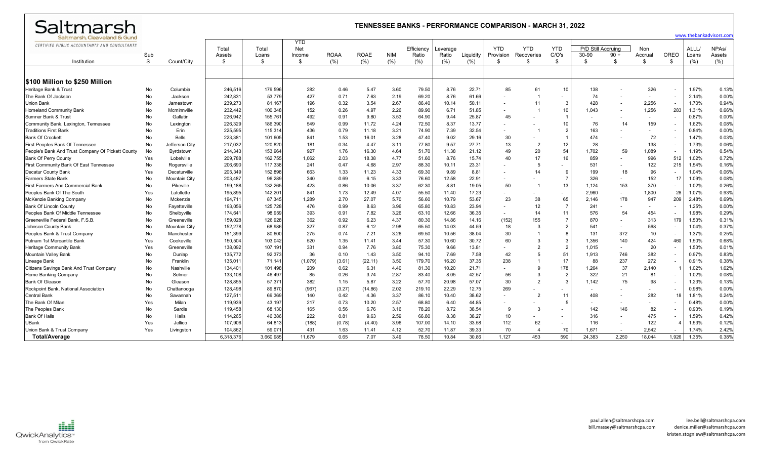| Saltmarsh                                         |          | <b>TENNESSEE BANKS - PERFORMANCE COMPARISON - MARCH 31, 2022</b><br>www.thebankadvisors.com |                    |                   |            |              |              |              |                |               |                |                          |                |                 |                    |        |                          |                          |                |                    |
|---------------------------------------------------|----------|---------------------------------------------------------------------------------------------|--------------------|-------------------|------------|--------------|--------------|--------------|----------------|---------------|----------------|--------------------------|----------------|-----------------|--------------------|--------|--------------------------|--------------------------|----------------|--------------------|
| Saltmarsh, Cleaveland & Gund                      |          |                                                                                             |                    |                   | <b>YTD</b> |              |              |              |                |               |                |                          |                |                 |                    |        |                          |                          |                |                    |
| CERTIFIED PUBLIC ACCOUNTANTS AND CONSULTANTS      |          |                                                                                             | Total              | Total             | <b>Net</b> |              |              |              | Efficiency     | everage.      |                | <b>YTD</b>               | <b>YTD</b>     | <b>YTD</b>      | P/D Still Accruing |        | Non                      |                          | ALLL/          | NPA <sub>s</sub> / |
|                                                   | Sub      |                                                                                             | Assets             | Loans             | Income     | <b>ROAA</b>  | <b>ROAE</b>  | <b>NIM</b>   | Ratio          | Ratio         | Liquidity      | Provision                | Recoveries     | C/O's           | 30-90              | $90 +$ | Accrual                  | OREO                     | Loans          | Assets             |
| Institution                                       | S.       | Count/City                                                                                  | -S                 | \$                | - \$       | (%)          | (%)          | (%)          | (%)            | (% )          | (% )           | \$                       | \$.            | \$              | \$                 | -S     | -\$                      | \$                       | (%)            | (% )               |
|                                                   |          |                                                                                             |                    |                   |            |              |              |              |                |               |                |                          |                |                 |                    |        |                          |                          |                |                    |
|                                                   |          |                                                                                             |                    |                   |            |              |              |              |                |               |                |                          |                |                 |                    |        |                          |                          |                |                    |
| <b>S100 Million to \$250 Million</b>              |          |                                                                                             |                    |                   |            |              |              |              |                |               |                |                          |                |                 |                    |        |                          |                          |                |                    |
| Heritage Bank & Trust                             | No       | Columbia                                                                                    | 246,516            | 179,596           | 282<br>427 | 0.46         | 5.47         | 3.60         | 79.50          | 8.76          | 22.7'<br>61.66 | 85                       | 61             | 10              | 138<br>74          |        | 326                      | $\overline{\phantom{a}}$ | 1.97%          | 0.13%<br>0.00%     |
| The Bank Of Jackson<br>Jnion Bank                 | No<br>No | Jackson                                                                                     | 242,831            | 53,779            | 196        | 0.71         | 7.63<br>3.54 | 2.19<br>2.67 | 69.20          | 8.76<br>10.14 | 50.1'          |                          | 11             | 3               | 428                |        | $\overline{\phantom{a}}$ | $\blacksquare$           | 2.14%<br>1.70% | 0.94%              |
| <b>Homeland Community Bank</b>                    | No       | Jamestown<br>Mcminnville                                                                    | 239,273<br>232,442 | 81,167<br>100,348 | 152        | 0.32<br>0.26 | 4.97         | 2.26         | 86.40<br>89.90 | 6.71          | 51.85          |                          |                | 10 <sup>°</sup> | 1.043              |        | 2,256<br>1,256           | $\blacksquare$<br>283    | 1.31%          | 0.66%              |
| Sumner Bank & Trust                               |          | Gallatin                                                                                    | 226,942            | 155,761           | 492        | 0.91         | 9.80         | 3.53         | 64.90          | 9.44          | 25.87          | 45                       |                | -1              |                    |        |                          |                          | 0.87%          | 0.00%              |
| Community Bank, Lexington, Tennessee              | No<br>No | Lexington                                                                                   | 226,329            | 186,390           | 549        | 0.99         | 11.72        | 4.24         | 72.50          | 8.37          | 13.77          |                          |                | 10              | 76                 | 14     | 159                      | $\overline{\phantom{a}}$ | 1.62%          | 0.08%              |
| <b>Traditions First Bank</b>                      | No       | Erin                                                                                        | 225,595            | 115,314           | 436        | 0.79         | 11.18        | 3.21         | 74.90          | 7.39          | 32.54          |                          |                | $\overline{2}$  | 163                |        |                          | $\blacksquare$           | 0.84%          | 0.00%              |
| <b>Bank Of Crockett</b>                           | No       | <b>Bells</b>                                                                                | 223,381            | 101,605           | 841        | 1.53         | 16.01        | 3.28         | 47.40          | 9.02          | 29.16          | 30                       |                |                 | 474                |        | 72                       | $\blacksquare$           | 1.47%          | 0.03%              |
| <b>First Peoples Bank Of Tennessee</b>            | No       | Jefferson City                                                                              | 217,032            | 120,820           | 181        | 0.34         | 4.47         | 3.11         | 77.80          | 9.57          | 27.71          | 13                       | $\overline{2}$ | 12              | 28                 |        | 138                      | $\sim$                   | 1.73%          | 0.06%              |
| People's Bank And Trust Company Of Pickett County | No       | Byrdstown                                                                                   | 214,343            | 153,964           | 927        | 1.76         | 16.30        | 4.64         | 51.70          | 11.38         | 21.12          | 49                       | 20             | 54              | 1,702              | 59     | 1,089                    | $\overline{\phantom{a}}$ | 1.19%          | 0.54%              |
| <b>Bank Of Perry County</b>                       | Yes      | Lobelville                                                                                  | 209,788            | 162,755           | 1,062      | 2.03         | 18.38        | 4.77         | 51.60          | 8.76          | 15.74          | 40                       | 17             | 16              | 859                |        | 996                      | 512                      | 1.02%          | 0.72%              |
| First Community Bank Of East Tennessee            | No       | Rogersville                                                                                 | 206,690            | 117,338           | 241        | 0.47         | 4.68         | 2.97         | 88.30          | 10.11         | 23.31          |                          | 5              |                 | 531                |        | 122                      | 215                      | 1.54%          | 0.16%              |
| Decatur County Bank                               | Yes      | Decaturville                                                                                | 205,349            | 152,898           | 663        | 1.33         | 11.23        | 4.33         | 69.30          | 9.89          | 8.81           |                          | 14             | -9              | 199                | 18     | 96                       | $\blacksquare$           | 1.04%          | 0.06%              |
| <b>Farmers State Bank</b>                         | No       | <b>Mountain City</b>                                                                        | 203,487            | 96,289            | 340        | 0.69         | 6.15         | 3.33         | 76.60          | 12.58         | 22.91          |                          |                | $\overline{7}$  | 326                |        | 152                      | $\overline{1}$           | 1.09%          | 0.08%              |
| <b>First Farmers And Commercial Bank</b>          | No       | Pikeville                                                                                   | 199,188            | 132,265           | 423        | 0.86         | 10.06        | 3.37         | 62.30          | 8.81          | 19.05          | 50                       |                | 13              | 1,124              | 153    | 370                      | $\blacksquare$           | 1.02%          | 0.26%              |
| Peoples Bank Of The South                         | Yes      | Lafollette                                                                                  | 195,895            | 142,20            | 841        | 1.73         | 12.49        | 4.07         | 55.50          | 11.40         | 17.23          |                          |                |                 | 2,960              |        | 1,800                    | 28                       | 1.07%          | 0.93%              |
| McKenzie Banking Company                          | No       | Mckenzie                                                                                    | 194,711            | 87,345            | 1,289      | 2.70         | 27.07        | 5.70         | 56.60          | 10.79         | 53.67          | 23                       | 38             | 65              | 2,146              | 178    | 947                      | 209                      | 2.48%          | 0.69%              |
| <b>Bank Of Lincoln County</b>                     | No       | Fayetteville                                                                                | 193,056            | 125,728           | 476        | 0.99         | 8.63         | 3.96         | 65.80          | 10.83         | 23.94          |                          | 12             | -7              | 241                |        |                          | $\blacksquare$           | 1.25%          | 0.00%              |
| Peoples Bank Of Middle Tennessee                  | No       | Shelbyville                                                                                 | 174,641            | 98,959            | 393        | 0.91         | 7.82         | 3.26         | 63.10          | 12.66         | 36.35          | $\overline{\phantom{a}}$ | 14             | 11              | 576                | 54     | 454                      | $\blacksquare$           | 1.98%          | 0.29%              |
| Greeneville Federal Bank, F.S.B.                  | No       | Greeneville                                                                                 | 159,028            | 126,928           | 362        | 0.92         | 6.23         | 4.37         | 80.30          | 14.86         | 14.16          | (152)                    | 155            | $\overline{7}$  | 870                |        | 313                      | 179                      | 1.53%          | 0.31%              |
| Johnson County Bank                               | No       | Mountain City                                                                               | 152,278            | 68,986            | 327        | 0.87         | 6.12         | 2.98         | 65.50          | 14.03         | 44.59          | 18                       | 3              | $\mathfrak{D}$  | 541                |        | 568                      | ٠                        | 1.04%          | 0.37%              |
| Peoples Bank & Trust Company                      | No       | Manchester                                                                                  | 151,399            | 80,600            | 275        | 0.74         | 7.21         | 3.26         | 69.50          | 10.56         | 38.04          | 30                       |                | 8               | 131                | 372    | 10                       | $\overline{\phantom{a}}$ | 1.37%          | 0.25%              |
| Putnam 1st Mercantile Bank                        | Yes      | Cookeville                                                                                  | 150,504            | 103,042           | 520        | 1.35         | 11.41        | 3.44         | 57.30          | 10.60         | 30.72          | 60                       | 3              | 3               | 1.356              | 140    | 424                      | 460                      | 1.50%          | 0.68%              |
| Heritage Community Bank                           | Yes      | Greeneville                                                                                 | 138,092            | 107,191           | 331        | 0.94         | 7.76         | 3.80         | 75.30          | 9.66          | 13.81          |                          | $\overline{2}$ | $\overline{2}$  | 1,015              |        | 20                       | $\sim$                   | 1.53%          | 0.01%              |
| Mountain Valley Bank                              | No       | Dunlap                                                                                      | 135,772            | 92,373            | 36         | 0.10         | 1.43         | 3.50         | 94.10          | 7.69          | 7.58           | 42                       | -5             | 51              | 1.913              | 746    | 382                      | $\overline{\phantom{a}}$ | 0.97%          | 0.83%              |
| Lineage Bank                                      | No       | Franklin                                                                                    | 135,01'            | 71,14             | (1,079)    | (3.61)       | (22.11)      | 3.50         | 179.70         | 16.20         | 37.35          | 238                      |                | 17              | 88                 | 237    | 272                      | $\blacksquare$           | 0.91%          | 0.38%              |
| Citizens Savings Bank And Trust Company           | No       | Nashville                                                                                   | 134,401            | 101,498           | 209        | 0.62         | 6.31         | 4.40         | 81.30          | 10.20         | 21.71          |                          | 9              | 178             | 1,264              | 37     | 2,140                    |                          | 1.02%          | 1.62%              |
| Home Banking Company                              | No       | Selmer                                                                                      | 133,108            | 46,497            | 85         | 0.26         | 3.74         | 2.87         | 83.40          | 8.05          | 42.57          | 56                       | 3              | $\overline{2}$  | 322                | 21     | 81                       | $\overline{\phantom{a}}$ | 1.02%          | 0.08%              |
| <b>Bank Of Gleason</b>                            | No       | Gleason                                                                                     | 128,855            | 57,371            | 382        | 1.15         | 5.87         | 3.22         | 57.70          | 20.98         | 57.07          | 30                       | $\overline{2}$ | 3               | 1.142              | 75     | 98                       | $\blacksquare$           | 1.23%          | 0.13%              |
| Rockpoint Bank, National Association              | No       | Chattanooɑa                                                                                 | 128,498            | 89,870            | (967)      | (3.27)       | (14.86)      | 2.02         | 219.10         | 22.29         | 12.75          | 269                      |                |                 |                    |        |                          | $\blacksquare$           | 0.98%          | 0.00%              |
| <b>Central Bank</b>                               | No       | Savannah                                                                                    | 127,511            | 69,369            | 140        | 0.42         | 4.36         | 3.37         | 86.10          | 10.40         | 38.62          |                          | $\overline{2}$ | 11              | 408                |        | 282                      | 18                       | 1.81%          | 0.24%              |
| The Bank Of Milan                                 | Yes      | Milan                                                                                       | 119,939            | 43,197            | 217        | 0.73         | 10.20        | 2.57         | 68.80          | 6.40          | 44.85          |                          |                | -5              |                    |        |                          | $\blacksquare$           | 0.48%          | 0.00%              |
| The Peoples Bank                                  | No       | Sardis                                                                                      | 119,458            | 68,130            | 165        | 0.56         | 6.76         | 3.16         | 78.20          | 8.72          | 38.54          | ٩                        | -3             |                 | 142                | 146    | 82                       | $\overline{\phantom{a}}$ | 0.93%          | 0.19%              |
| <b>Bank Of Halls</b>                              | No       | Halls                                                                                       | 114,265            | 46,386            | 222        | 0.81         | 9.63         | 2.59         | 66.80          | 8.38          | 38.27          | 10                       |                |                 | 316                |        | 475                      | $\blacksquare$           | 1.59%          | 0.42%              |
| <b>UBank</b>                                      | Yes      | Jellico                                                                                     | 107,906            | 64,81             | (188)      | (0.78)       | (4.40)       | 3.96         | 107.00         | 14.10         | 33.58          | 112                      | 62             |                 | 116                |        | 122                      |                          | 1.53%          | 0.12%              |
| Union Bank & Trust Company                        | Yes      | Livingston                                                                                  | 104.862            | 59,07             | 431        | 1.63         | 11.41        | 4.12         | 52.70          | 11.87         | 39.33          | 70                       | $\overline{4}$ | 70              | 1,671              |        | 2.542                    | $\sim$                   | 1.74%          | 2.42%              |
| Total/Average                                     |          |                                                                                             | 6.318.376          | 3,660,985         | 11.679     | 0.65         | 7.07         | 3.49         | 78.50          | 10.84         | 30.86          | 1,127                    | 453            | 590             | 24,383             | 2,250  | 18,044                   | 1,926                    | 1.35%          | 0.38%              |